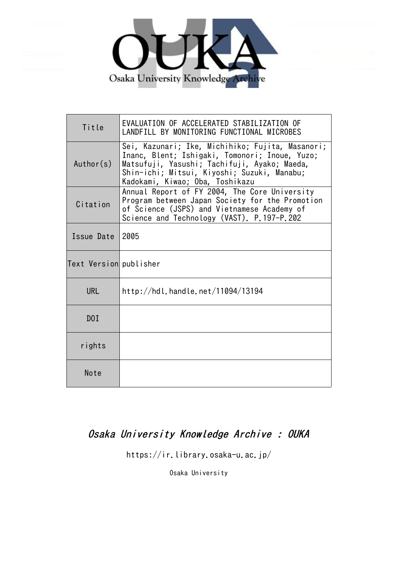

| Title                  | EVALUATION OF ACCELERATED STABILIZATION OF<br>LANDFILL BY MONITORING FUNCTIONAL MICROBES                                                                                                                                             |
|------------------------|--------------------------------------------------------------------------------------------------------------------------------------------------------------------------------------------------------------------------------------|
| Author(s)              | Sei, Kazunari; Ike, Michihiko; Fujita, Masanori;<br>Inanc, Blent; Ishigaki, Tomonori; Inoue, Yuzo;<br>Matsufuji, Yasushi; Tachifuji, Ayako; Maeda,<br>Shin-ichi; Mitsui, Kiyoshi; Suzuki, Manabu;<br>Kadokami, Kiwao; Oba, Toshikazu |
| Citation               | Annual Report of FY 2004, The Core University<br>Program between Japan Society for the Promotion<br>of Science (JSPS) and Vietnamese Academy of<br>Science and Technology (VAST). P.197-P.202                                        |
| Issue Date             | 2005                                                                                                                                                                                                                                 |
| Text Version publisher |                                                                                                                                                                                                                                      |
| <b>URL</b>             | http://hdl.handle.net/11094/13194                                                                                                                                                                                                    |
| D0I                    |                                                                                                                                                                                                                                      |
| rights                 |                                                                                                                                                                                                                                      |
| Note                   |                                                                                                                                                                                                                                      |

# Osaka University Knowledge Archive : OUKA

https://ir.library.osaka-u.ac.jp/

Osaka University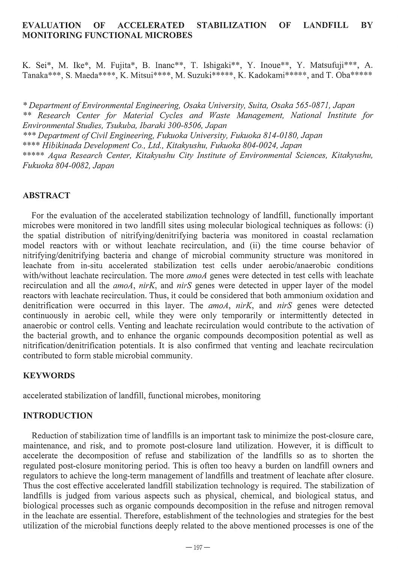# EVALUATION OF ACCELERATED STABILIZATION OF LANDFILL BY MONITORING FUNCTIONAL MICROBES

K. Sei\*, M. Ike\*, M. Fujita\*, B. Inanc\*\*, T. Ishigaki\*\*, Y. Inoue\*\*, Y. Matsufuji\*\*\*, A. Tanaka\*\*\*, S. Maeda\*\*\*\*, K. Mitsui\*\*\*\*, M. Suzuki\*\*\*\*\*, K. Kadokami\*\*\*\*\*, and T. Oba\*\*\*\*\*

\* *Department of Environmental Engineering, Osaka University, Suita, Osaka 565-0871, Japan*  \*\* *Research Center for Material Cycles and Waste Management, National Institute for Environmental Studies, Tsukuba, Ibaraki 300-8506, Japan*  \*\*\* *Department of Civil Engineering, Fukuoka University, Fukuoka 814-0180, Japan*  \*\*\*\* *Hibikinada Development Co., Ltd., Kitakyushu, Fukuoka 804-0024, Japan*  \*\*\*\*\* *Aqua Research Center, Kitakyushu City Institute of Environmental Sciences, Kitakyushu, Fukuoka 804-0082, Japan* 

### ABSTRACT

For the evaluation of the accelerated stabilization technology of landfill, functionally important microbes were monitored in two landfill sites using molecular biological techniques as follows: (i) the spatial distribution of nitrifying/denitrifying bacteria was monitored in coastal reclamation model reactors with or without leachate recirculation, and (ii) the time course behavior of nitrifying/denitrifying bacteria and change of microbial community structure was monitored in leachate from in-situ accelerated stabilization test cells under aerobic/anaerobic conditions with/without leachate recirculation. The more *amoA* genes were detected in test cells with leachate recirculation and all the *amoA, nirK,* and *nirS* genes were detected in upper layer of the model reactors with leachate recirculation. Thus, it could be considered that both ammonium oxidation and denitrification were occuned in this layer. The *amoA, nirK,* and *nirS* genes were detected continuously in aerobic cell, while they were only temporarily or intermittently detected in anaerobic or control cells. Venting and leachate recirculation would contribute to the activation of the bacterial growth, and to enhance the organic compounds decomposition potential as well as nitrification/denitrification potentials. It is also confirmed that venting and leachate recirculation contributed to form stable microbial community.

#### KEYWORDS

accelerated stabilization of landfill, functional microbes, monitoring

## INTRODUCTION

Reduction of stabilization time of landfills is an important task to minimize the post-closure care, maintenance, and risk, and to promote post-closure land utilization. However, it is difficult to accelerate the decomposition of refuse and stabilization of the landfills so as to shorten the regulated post-closure monitoring period. This is often too heavy a burden on landfill owners and regulators to achieve the long-term management of landfills and treatment of leachate after closure. Thus the cost effective accelerated landfill stabilization technology is required. The stabilization of landfills is judged from various aspects such as physical, chemical, and biological status, and biological processes such as organic compounds decomposition in the refuse and nitrogen removal in the leachate are essential. Therefore, establishment of the technologies and strategies for the best utilization of the microbial functions deeply related to the above mentioned processes is one of the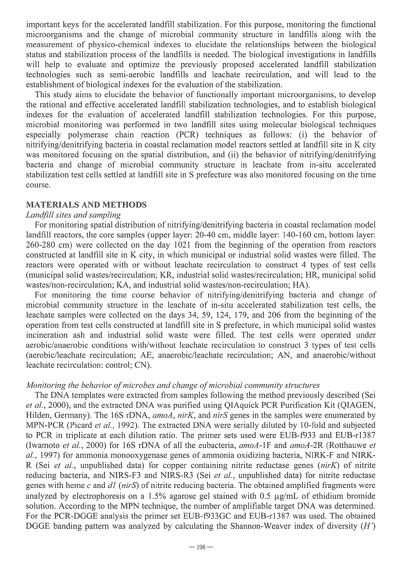important keys for the accelerated landfill stabilization. For this purpose, monitoring the functional microorganisms and the change of microbial community structure in landfills along with the measurement of physico-chemical indexes to elucidate the relationships between the biological status and stabilization process of the landfills is needed. The biological investigations in landfills will help to evaluate and optimize the previously proposed accelerated landfill stabilization technologies such as semi-aerobic landfills and leachate recirculation, and will lead to the establishment of biological indexes for the evaluation of the stabilization.

This study aims to elucidate the behavior of functionally important microorganisms, to develop the rational and effective accelerated landfill stabilization technologies, and to establish biological indexes for the evaluation of accelerated landfill stabilization technologies. For this purpose, microbial monitoring was performed in two landfill sites using molecular biological techniques especially polymerase chain reaction (PCR) techniques as follows: (i) the behavior of nitrifying/denitrifying bacteria in coastal reclamation model reactors settled at landfill site in K city was monitored focusing on the spatial distribution, and (ii) the behavior of nitrifying/denitrifying bacteria and change of microbial community structure in leachate from in-situ accelerated stabilization test cells settled at landfill site in S prefecture was also monitored focusing on the time course.

#### MATERIALS AND METHODS

#### *Landfill sites and sampling*

For monitoring spatial distribution of nitrifying/denitrifying bacteria in coastal reclamation model landfill reactors, the core samples (upper layer: 20-40 cm, middle layer: 140-160 cm, bottom layer: 260-280 cm) were collected on the day 1021 from the beginning of the operation from reactors constructed at landfill site in K city, in which municipal or industrial solid wastes were filled. The reactors were operated with or without leachate recirculation to construct 4 types of test cells (municipal solid wasteslrecirculation; KR, industrial solid wastes/recirculation; HR, municipal solid wastes/non-recirculation; KA, and industrial solid wastes/non-recirculation; HA).

For monitoring the time course behavior of nitrifying/denitrifying bacteria and change of microbial community structure in the leachate of in-situ accelerated stabilization test cells, the leachate samples were collected on the days 34, 59, 124, 179, and 206 from the beginning of the operation from test cells constructed at landfill site in S prefecture, in which municipal solid wastes incineration ash and industrial solid waste were filled. The test cells were operated under aerobic/anaerobic conditions with/without leachate recirculation to construct 3 types of test cells (aerobiclleachate recirculation; AE, anaerobic/leachate recirculation; AN, and anaerobic/without leachate recirculation: control; CN).

## *Monitoring the behavior of microbes and change of microbial community structures*

The DNA templates were extracted from samples following the method previously described (Sei *et at.,* 2000), and the extracted DNA was purified using QIAquick PCR Purification Kit (QIAGEN, Hilden, Germany). The 16S rDNA, *amoA, nirK,* and *nirS* genes in the samples were enumerated by MPN-PCR (Picard *et at.,* 1992). The extracted DNA were serially diluted by 10-fold and subjected to PCR in triplicate at each dilution ratio. The primer sets used were EUB-f933 and EUB-rl387 (Iwamoto *et ai.,* 2000) for 16S rDNA of all the eubacteria, *amoA-IF* and *amoA-2R* (Rotthauwe *et at.,* 1997) for ammonia monooxygenase genes of ammonia oxidizing bacteria, NIRK-F and NIRK-R (Sei *et al.,* unpublished data) for copper containing nitrite reductase genes *(nirK)* of nitrite reducing bacteria, and NIRS-F3 and NIRS-R3 (Sei *et ai.,* unpublished data) for nitrite reductase genes with heme c and *dl (nirS)* of nitrite reducing bacteria. The obtained amplified fragments were analyzed by electrophoresis on a 1.5% agarose gel stained with 0.5  $\mu$ g/mL of ethidium bromide solution. According to the MPN technique, the number of amplifiable target DNA was determined. For the PCR-DGGE analysis the primer set EUB-f933GC and EUB-r1387 was used. The obtained DGGE banding pattern was analyzed by calculating the Shannon-Weaver index of diversity  $(H')$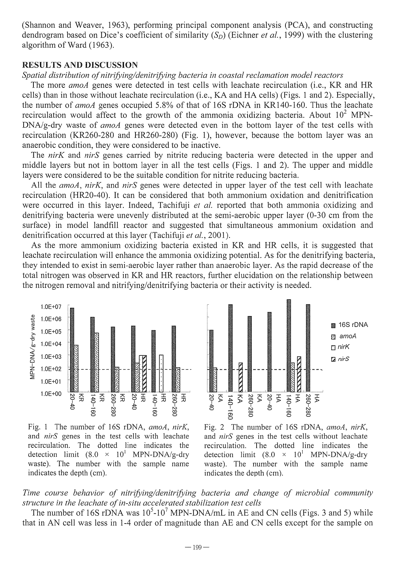(Shannon and Weaver, 1963), performing principal component analysis (PCA), and constructing dendrogram based on Dice's coefficient of similarity  $(S_D)$  (Eichner *et al.*, 1999) with the clustering algorithm of Ward (1963).

## RESULTS AND DISCUSSION

#### *Spatial distribution of nitrifjdngldenitrifj;ing bacteria in coastal reclamation model reactors*

The more *amoA* genes were detected in test cells with leachate recirculation (i.e., KR and HR cells) than in those without leachate recirculation (i.e., KA and HA cells) (Figs. 1 and 2). Especially, the number of *amoA* genes occupied 5.8% of that of 16S rDNA in KR140-160. Thus the leachate recirculation would affect to the growth of the ammonia oxidizing bacteria. About  $10^2$  MPN-DNA/g-dry waste of *amoA* genes were detected even in the bottom layer of the test cells with recirculation (KR260-280 and HR260-280) (Fig. 1), however, because the bottom layer was an anaerobic condition, they were considered to be inactive.

The *nirK* and *nirS* genes carried by nitrite reducing bacteria were detected in the upper and middle layers but not in bottom layer in all the test cells (Figs. 1 and 2). The upper and middle layers were considered to be the suitable condition for nitrite reducing bacteria.

All the *amoA, nirK,* and *nirS* genes were detected in upper layer of the test cell with leachate recirculation (HR20-40). It can be considered that both ammonium oxidation and denitrification were occurred in this layer. Indeed, Tachifuji *et al.* reported that both ammonia oxidizing and denitrifying bacteria were unevenly distributed at the semi-aerobic upper layer (0-30 cm from the surface) in model landfill reactor and suggested that simultaneous ammonium oxidation and denitrification occurred at this layer (Tachifuji *et al.,* 2001).

As the more ammonium oxidizing bacteria existed in KR and HR cells, it is suggested that leachate recirculation will enhance the ammonia oxidizing potential. As for the denitrifying bacteria, they intended to exist in semi-aerobic layer rather than anaerobic layer. As the rapid decrease of the total nitrogen was observed in KR and HR reactors, further elucidation on the relationship between the nitrogen removal and nitrifying/denitrifying bacteria or their activity is needed.









# Time course behavior of nitrifying/denitrifying bacteria and change of microbial community *structure in the leachate of in-situ accelerated stabilization test cells*

The number of 16S rDNA was  $10^5$ -10<sup>7</sup> MPN-DNA/mL in AE and CN cells (Figs. 3 and 5) while that in AN cell was less in 1-4 order of magnitude than AE and CN cells except for the sample on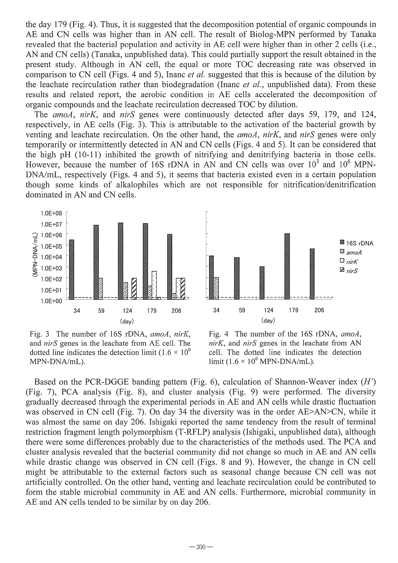the day 179 (Fig. 4). Thus, it is suggested that the decomposition potential of organic compounds in AE and CN cells was higher than in AN cell. The result of Biolog-MPN performed by Tanaka revealed that the bacterial population and activity in AE cell were higher than in other 2 cells (i.e., AN and CN cells) (Tanaka, unpublished data). This could partially support the result obtained in the present study. Although in AN cell, the equal or more TOC decreasing rate was observed in comparison to CN cell (Figs. 4 and 5), Inanc *et ai.* suggested that this is because of the dilution by the leachate recirculation rather than biodegradation (Inanc *et ai.,* unpublished data). From these results and related report, the aerobic condition in AE cells accelerated the decomposition of organic compounds and the leachate recirculation decreased TOC by dilution.

The *amoA, nirK,* and *nirS* genes were continuously detected after days 59, 179, and 124, respectively, in AE cells (Fig. 3). This is attributable to the activation of the bacterial growth by venting and leachate recirculation. On the other hand, the *amoA, nirK,* and *nirS* genes were only temporarily or intermittently detected in AN and CN cells (Figs. 4 and 5). It can be considered that the high pH (10-11) inhibited the growth of nitrifying and denitrifying bacteria in those cells. However, because the number of 16S rDNA in AN and CN cells was over  $10^3$  and  $10^6$  MPN-DNA/mL, respectively (Figs. 4 and 5), it seems that bacteria existed even in a certain population though some kinds of alkalophiles which are not responsible for nitrification/denitrification dominated in AN and CN cells.





Fig. 3 The number of 16S rDNA, *amoA, nirK,*  and *nirS* genes in the leachate from AE cell. The dotted line indicates the detection limit (1.6  $\times$  10<sup>0</sup> MPN-DNA/mL).



Based on the PCR-DGGE banding pattern (Fig. 6), calculation of Shannon-Weaver index (H') (Fig. 7), PCA analysis (Fig. 8), and cluster analysis (Fig. 9) were performed. The diversity gradually decreased through the experimental periods in AE and AN cells while drastic fluctuation was observed in CN cell (Fig. 7). On day 34 the diversity was in the order AE>AN>CN, while it was almost the same on day 206. Ishigaki reported the same tendency from the result of terminal restriction fragment length polymorphism (T-RFLP) analysis (Ishigaki, unpublished data), although there were some differences probably due to the characteristics of the methods used. The PCA and cluster analysis revealed that the bacterial community did not change so much in AE and AN cells while drastic change was observed in CN cell (Figs. 8 and 9). However, the change in CN cell might be attributable to the external factors such as seasonal change because CN cell was not artificially controlled. On the other hand, venting and leachate recirculation could be contributed to form the stable microbial community in AE and AN cells. Furthermore, microbial community in AE and AN cells tended to be similar by on day 206.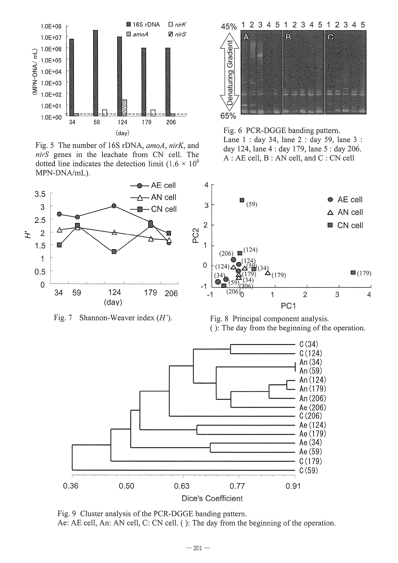

Fig. 5 The number of 16S rDNA, *amoA, nirK,* and *nirS* genes in the leachate from CN cell. The dotted line indicates the detection limit (1.6  $\times$  10<sup>°</sup> MPN-DNA/mL).





Fig. 6 PCR-DGGE banding pattern. Lane 1 : day 34, lane 2 : day 59, lane 3 : day 124, lane 4 : day 179, lane 5 : day 206. A : AE cell, B : AN cell, and C : CN cell







Fig. 9 Cluster analysis of the PCR-DGGE banding pattern. Ae: AE cell, An: AN cell, C: CN cell. (): The day from the beginning of the operation.